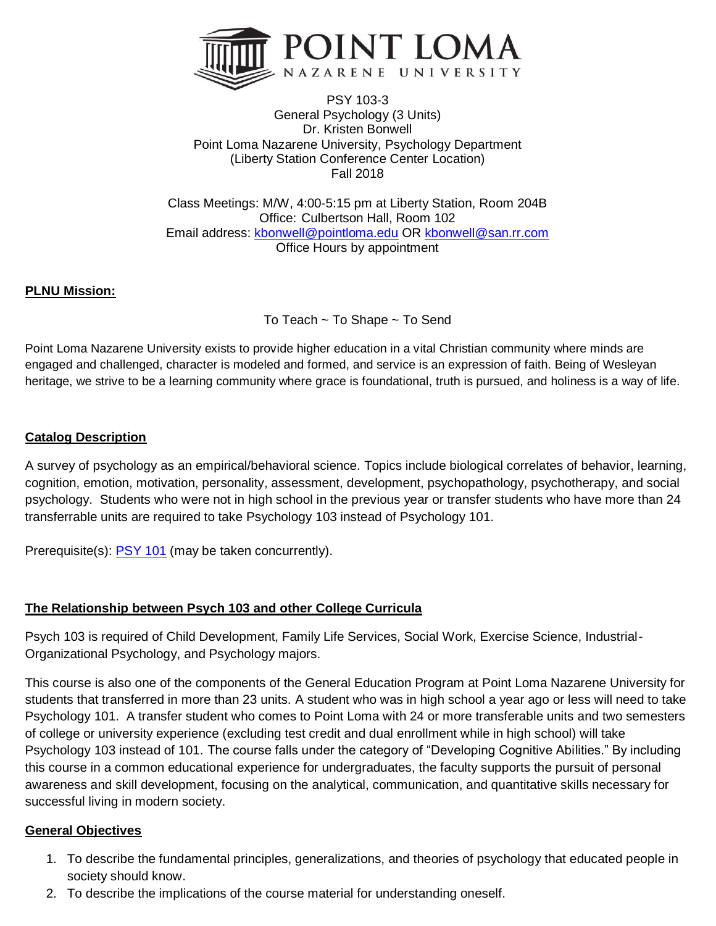

PSY 103-3 General Psychology (3 Units) Dr. Kristen Bonwell Point Loma Nazarene University, Psychology Department (Liberty Station Conference Center Location) Fall 2018

Class Meetings: M/W, 4:00-5:15 pm at Liberty Station, Room 204B Office: Culbertson Hall, Room 102 Email address: [kbonwell@pointloma.edu](mailto:kbonwell@pointloma.edu) OR [kbonwell@san.rr.com](mailto:kbonwell@san.rr.com) Office Hours by appointment

### **PLNU Mission:**

To Teach ~ To Shape ~ To Send

Point Loma Nazarene University exists to provide higher education in a vital Christian community where minds are engaged and challenged, character is modeled and formed, and service is an expression of faith. Being of Wesleyan heritage, we strive to be a learning community where grace is foundational, truth is pursued, and holiness is a way of life.

#### **Catalog Description**

A survey of psychology as an empirical/behavioral science. Topics include biological correlates of behavior, learning, cognition, emotion, motivation, personality, assessment, development, psychopathology, psychotherapy, and social psychology. Students who were not in high school in the previous year or transfer students who have more than 24 transferrable units are required to take Psychology 103 instead of Psychology 101.

Prerequisite(s): [PSY 101](https://catalog.pointloma.edu/content.php?filter%5B27%5D=PSY&filter%5B29%5D=103&filter%5Bcourse_type%5D=-1&filter%5Bkeyword%5D=&filter%5B32%5D=1&filter%5Bcpage%5D=1&cur_cat_oid=8&expand=&navoid=873&search_database=Filter#tt966) (may be taken concurrently).

#### **The Relationship between Psych 103 and other College Curricula**

Psych 103 is required of Child Development, Family Life Services, Social Work, Exercise Science, Industrial-Organizational Psychology, and Psychology majors.

This course is also one of the components of the General Education Program at Point Loma Nazarene University for students that transferred in more than 23 units. A student who was in high school a year ago or less will need to take Psychology 101. A transfer student who comes to Point Loma with 24 or more transferable units and two semesters of college or university experience (excluding test credit and dual enrollment while in high school) will take Psychology 103 instead of 101. The course falls under the category of "Developing Cognitive Abilities." By including this course in a common educational experience for undergraduates, the faculty supports the pursuit of personal awareness and skill development, focusing on the analytical, communication, and quantitative skills necessary for successful living in modern society.

#### **General Objectives**

- 1. To describe the fundamental principles, generalizations, and theories of psychology that educated people in society should know.
- 2. To describe the implications of the course material for understanding oneself.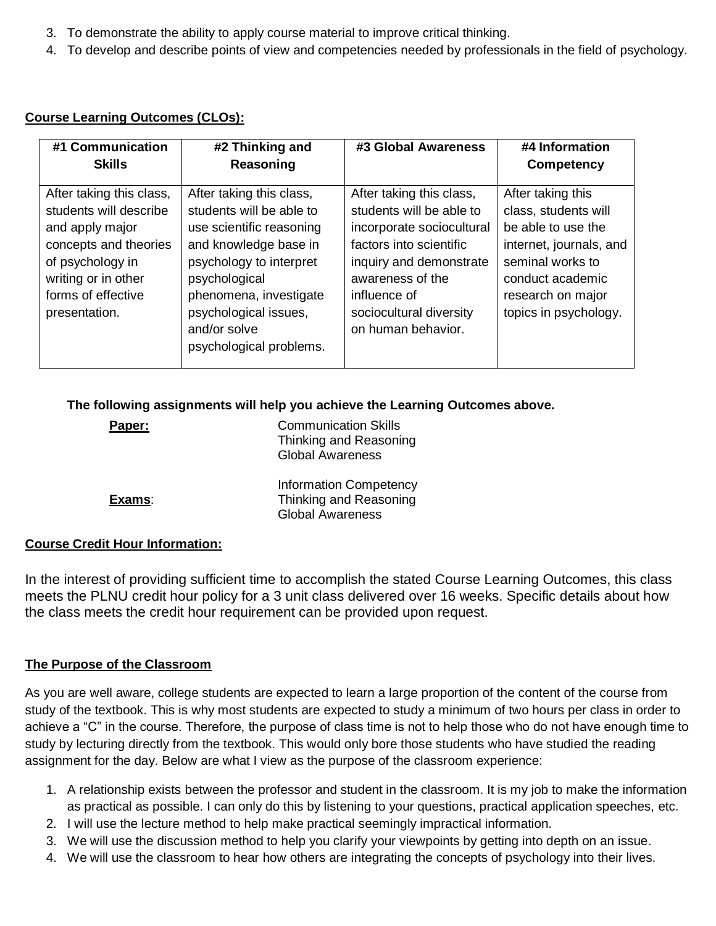- 3. To demonstrate the ability to apply course material to improve critical thinking.
- 4. To develop and describe points of view and competencies needed by professionals in the field of psychology.

#### **Course Learning Outcomes (CLOs):**

| #1 Communication                                                                                                                                                                 | #2 Thinking and                                                                                                                                                                                                                                     | #3 Global Awareness                                                                                                                                                                                                          | #4 Information                                                                                                                                                                   |
|----------------------------------------------------------------------------------------------------------------------------------------------------------------------------------|-----------------------------------------------------------------------------------------------------------------------------------------------------------------------------------------------------------------------------------------------------|------------------------------------------------------------------------------------------------------------------------------------------------------------------------------------------------------------------------------|----------------------------------------------------------------------------------------------------------------------------------------------------------------------------------|
| <b>Skills</b>                                                                                                                                                                    | Reasoning                                                                                                                                                                                                                                           |                                                                                                                                                                                                                              | <b>Competency</b>                                                                                                                                                                |
| After taking this class,<br>students will describe<br>and apply major<br>concepts and theories<br>of psychology in<br>writing or in other<br>forms of effective<br>presentation. | After taking this class,<br>students will be able to<br>use scientific reasoning<br>and knowledge base in<br>psychology to interpret<br>psychological<br>phenomena, investigate<br>psychological issues,<br>and/or solve<br>psychological problems. | After taking this class,<br>students will be able to<br>incorporate sociocultural<br>factors into scientific<br>inquiry and demonstrate<br>awareness of the<br>influence of<br>sociocultural diversity<br>on human behavior. | After taking this<br>class, students will<br>be able to use the<br>internet, journals, and<br>seminal works to<br>conduct academic<br>research on major<br>topics in psychology. |

#### **The following assignments will help you achieve the Learning Outcomes above.**

| Paper: | <b>Communication Skills</b><br>Thinking and Reasoning<br><b>Global Awareness</b>   |  |
|--------|------------------------------------------------------------------------------------|--|
| Exams: | <b>Information Competency</b><br>Thinking and Reasoning<br><b>Global Awareness</b> |  |

#### **Course Credit Hour Information:**

In the interest of providing sufficient time to accomplish the stated Course Learning Outcomes, this class meets the PLNU credit hour policy for a 3 unit class delivered over 16 weeks. Specific details about how the class meets the credit hour requirement can be provided upon request.

#### **The Purpose of the Classroom**

As you are well aware, college students are expected to learn a large proportion of the content of the course from study of the textbook. This is why most students are expected to study a minimum of two hours per class in order to achieve a "C" in the course. Therefore, the purpose of class time is not to help those who do not have enough time to study by lecturing directly from the textbook. This would only bore those students who have studied the reading assignment for the day. Below are what I view as the purpose of the classroom experience:

- 1. A relationship exists between the professor and student in the classroom. It is my job to make the information as practical as possible. I can only do this by listening to your questions, practical application speeches, etc.
- 2. I will use the lecture method to help make practical seemingly impractical information.
- 3. We will use the discussion method to help you clarify your viewpoints by getting into depth on an issue.
- 4. We will use the classroom to hear how others are integrating the concepts of psychology into their lives.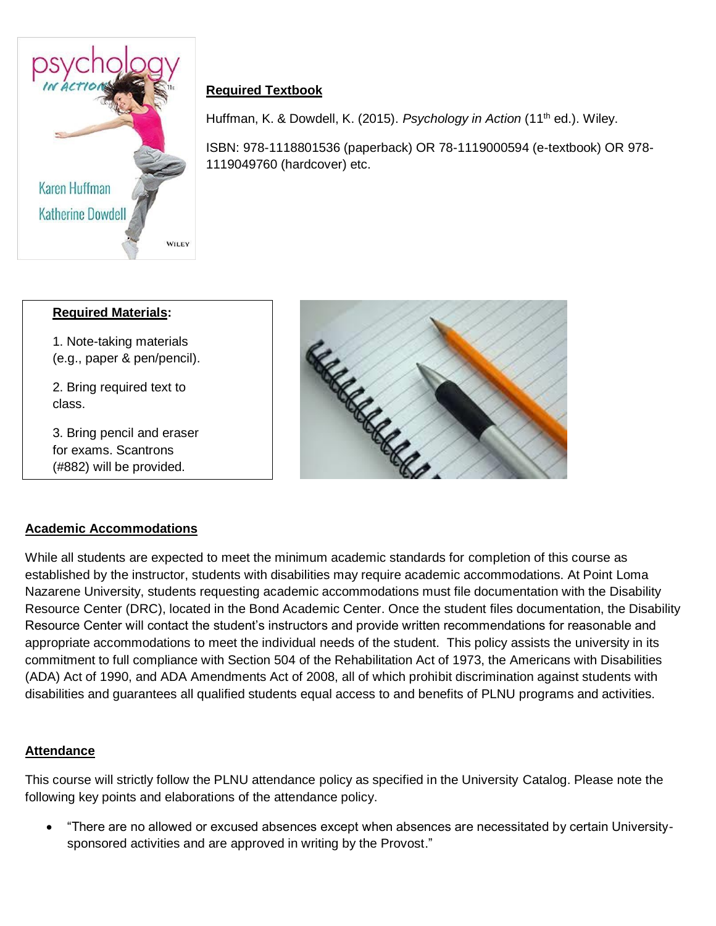

# **Required Textbook**

Huffman, K. & Dowdell, K. (2015). *Psychology in Action* (11<sup>th</sup> ed.). Wiley.

ISBN: 978-1118801536 (paperback) OR 78-1119000594 (e-textbook) OR 978- 1119049760 (hardcover) etc.

| <b>Required Materials:</b>                                                     |  |
|--------------------------------------------------------------------------------|--|
| 1. Note-taking materials<br>(e.g., paper & pen/pencil).                        |  |
| 2. Bring required text to<br>class.                                            |  |
| 3. Bring pencil and eraser<br>for exams. Scantrons<br>(#882) will be provided. |  |
|                                                                                |  |



### **Academic Accommodations**

While all students are expected to meet the minimum academic standards for completion of this course as established by the instructor, students with disabilities may require academic accommodations. At Point Loma Nazarene University, students requesting academic accommodations must file documentation with the Disability Resource Center (DRC), located in the Bond Academic Center. Once the student files documentation, the Disability Resource Center will contact the student's instructors and provide written recommendations for reasonable and appropriate accommodations to meet the individual needs of the student. This policy assists the university in its commitment to full compliance with Section 504 of the Rehabilitation Act of 1973, the Americans with Disabilities (ADA) Act of 1990, and ADA Amendments Act of 2008, all of which prohibit discrimination against students with disabilities and guarantees all qualified students equal access to and benefits of PLNU programs and activities.

### **Attendance**

 $\overline{a}$ 

This course will strictly follow the PLNU attendance policy as specified in the University Catalog. Please note the following key points and elaborations of the attendance policy.

• "There are no allowed or excused absences except when absences are necessitated by certain Universitysponsored activities and are approved in writing by the Provost."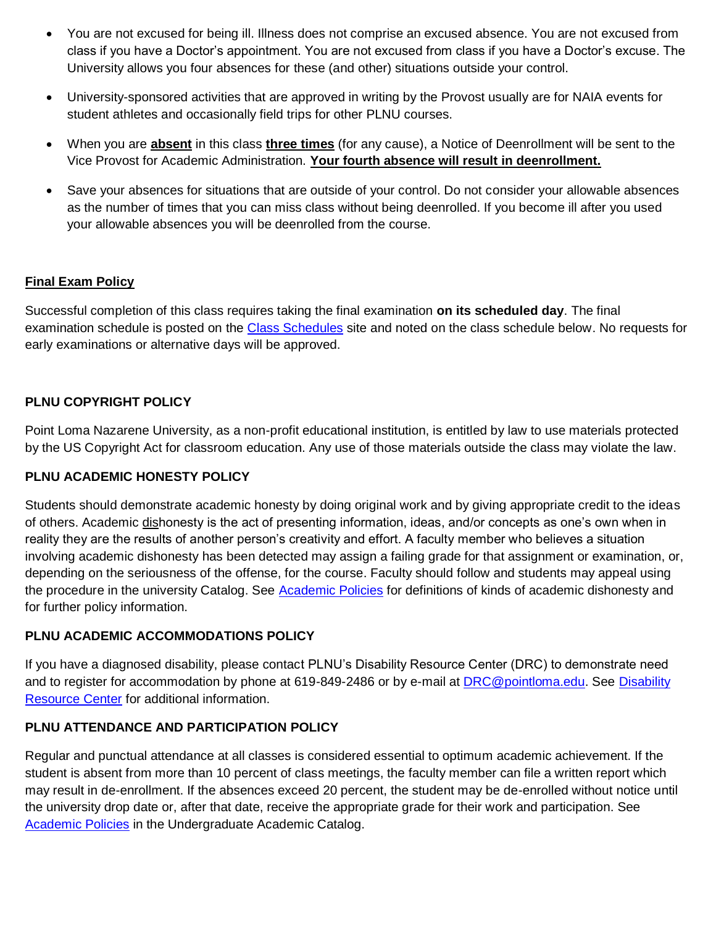- You are not excused for being ill. Illness does not comprise an excused absence. You are not excused from class if you have a Doctor's appointment. You are not excused from class if you have a Doctor's excuse. The University allows you four absences for these (and other) situations outside your control.
- University-sponsored activities that are approved in writing by the Provost usually are for NAIA events for student athletes and occasionally field trips for other PLNU courses.
- When you are **absent** in this class **three times** (for any cause), a Notice of Deenrollment will be sent to the Vice Provost for Academic Administration. **Your fourth absence will result in deenrollment.**
- Save your absences for situations that are outside of your control. Do not consider your allowable absences as the number of times that you can miss class without being deenrolled. If you become ill after you used your allowable absences you will be deenrolled from the course.

### **Final Exam Policy**

Successful completion of this class requires taking the final examination **on its scheduled day**. The final examination schedule is posted on the [Class Schedules](http://www.pointloma.edu/experience/academics/class-schedules) site and noted on the class schedule below. No requests for early examinations or alternative days will be approved.

### **PLNU COPYRIGHT POLICY**

Point Loma Nazarene University, as a non-profit educational institution, is entitled by law to use materials protected by the US Copyright Act for classroom education. Any use of those materials outside the class may violate the law.

### **PLNU ACADEMIC HONESTY POLICY**

Students should demonstrate academic honesty by doing original work and by giving appropriate credit to the ideas of others. Academic dishonesty is the act of presenting information, ideas, and/or concepts as one's own when in reality they are the results of another person's creativity and effort. A faculty member who believes a situation involving academic dishonesty has been detected may assign a failing grade for that assignment or examination, or, depending on the seriousness of the offense, for the course. Faculty should follow and students may appeal using the procedure in the university Catalog. See [Academic Policies](http://catalog.pointloma.edu/content.php?catoid=18&navoid=1278) for definitions of kinds of academic dishonesty and for further policy information.

### **PLNU ACADEMIC ACCOMMODATIONS POLICY**

If you have a diagnosed disability, please contact PLNU's Disability Resource Center (DRC) to demonstrate need and to register for accommodation by phone at 619-849-2486 or by e-mail at **DRC@pointloma.edu.** See Disability [Resource Center](http://www.pointloma.edu/experience/offices/administrative-offices/academic-advising-office/disability-resource-center) for additional information.

### **PLNU ATTENDANCE AND PARTICIPATION POLICY**

Regular and punctual attendance at all classes is considered essential to optimum academic achievement. If the student is absent from more than 10 percent of class meetings, the faculty member can file a written report which may result in de-enrollment. If the absences exceed 20 percent, the student may be de-enrolled without notice until the university drop date or, after that date, receive the appropriate grade for their work and participation. See [Academic Policies](http://catalog.pointloma.edu/content.php?catoid=18&navoid=1278) in the Undergraduate Academic Catalog.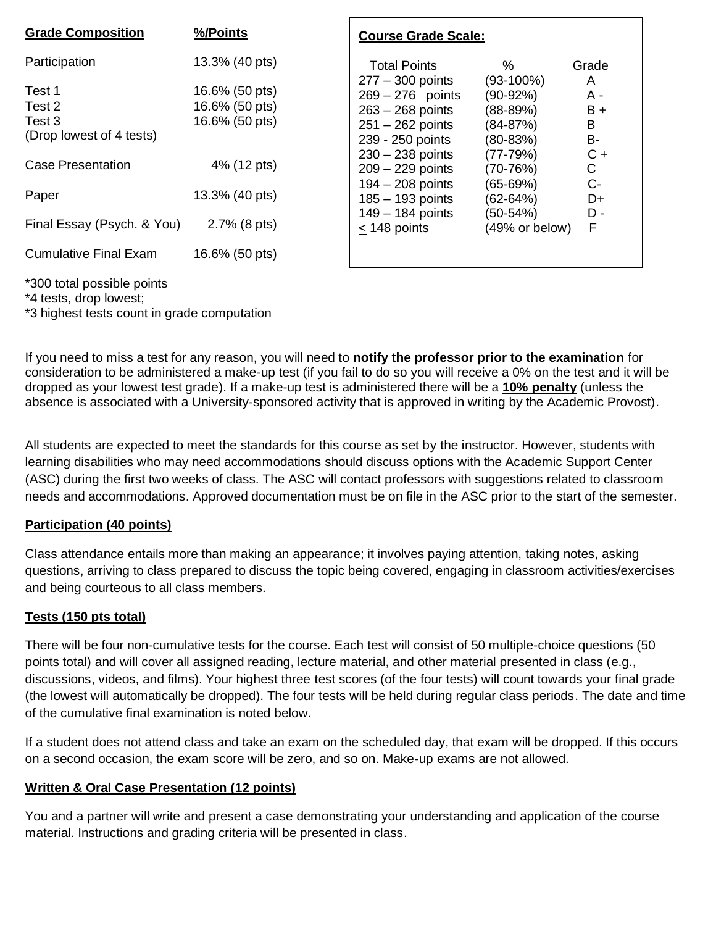| <b>Grade Composition</b>                               | %/Points                                           | <b>Course Grade Scale:</b>                                                         |                                                  |                              |
|--------------------------------------------------------|----------------------------------------------------|------------------------------------------------------------------------------------|--------------------------------------------------|------------------------------|
| Participation                                          | 13.3% (40 pts)                                     | <b>Total Points</b><br>$277 - 300$ points                                          | $\frac{\%}{\sqrt{2}}$<br>$(93-100\%)$            | Grade                        |
| Test 1<br>Test 2<br>Test 3<br>(Drop lowest of 4 tests) | 16.6% (50 pts)<br>16.6% (50 pts)<br>16.6% (50 pts) | $269 - 276$ points<br>$263 - 268$ points<br>$251 - 262$ points<br>239 - 250 points | $(90-92%)$<br>$(88-89%)$<br>(84-87%)<br>(80-83%) | A<br>A -<br>$B +$<br>B<br>B- |
| <b>Case Presentation</b>                               | 4% (12 pts)                                        | $230 - 238$ points<br>$209 - 229$ points                                           | $(77-79%)$<br>$(70-76%)$                         | $C +$<br>C.                  |
| Paper                                                  | 13.3% (40 pts)                                     | 194 - 208 points<br>$185 - 193$ points                                             | (65-69%)<br>(62-64%)                             | C-<br>D+                     |
| Final Essay (Psych. & You)                             | 2.7% (8 pts)                                       | $149 - 184$ points<br>$<$ 148 points                                               | $(50-54%)$<br>(49% or below)                     | D -<br>F                     |
| <b>Cumulative Final Exam</b>                           | 16.6% (50 pts)                                     |                                                                                    |                                                  |                              |
| *300 total possible points                             |                                                    |                                                                                    |                                                  |                              |

\*4 tests, drop lowest;

\*3 highest tests count in grade computation

If you need to miss a test for any reason, you will need to **notify the professor prior to the examination** for consideration to be administered a make-up test (if you fail to do so you will receive a 0% on the test and it will be dropped as your lowest test grade). If a make-up test is administered there will be a **10% penalty** (unless the absence is associated with a University-sponsored activity that is approved in writing by the Academic Provost).

All students are expected to meet the standards for this course as set by the instructor. However, students with learning disabilities who may need accommodations should discuss options with the Academic Support Center (ASC) during the first two weeks of class. The ASC will contact professors with suggestions related to classroom needs and accommodations. Approved documentation must be on file in the ASC prior to the start of the semester.

### **Participation (40 points)**

Class attendance entails more than making an appearance; it involves paying attention, taking notes, asking questions, arriving to class prepared to discuss the topic being covered, engaging in classroom activities/exercises and being courteous to all class members.

### **Tests (150 pts total)**

There will be four non-cumulative tests for the course. Each test will consist of 50 multiple-choice questions (50 points total) and will cover all assigned reading, lecture material, and other material presented in class (e.g., discussions, videos, and films). Your highest three test scores (of the four tests) will count towards your final grade (the lowest will automatically be dropped). The four tests will be held during regular class periods. The date and time of the cumulative final examination is noted below.

If a student does not attend class and take an exam on the scheduled day, that exam will be dropped. If this occurs on a second occasion, the exam score will be zero, and so on. Make-up exams are not allowed.

### **Written & Oral Case Presentation (12 points)**

You and a partner will write and present a case demonstrating your understanding and application of the course material. Instructions and grading criteria will be presented in class.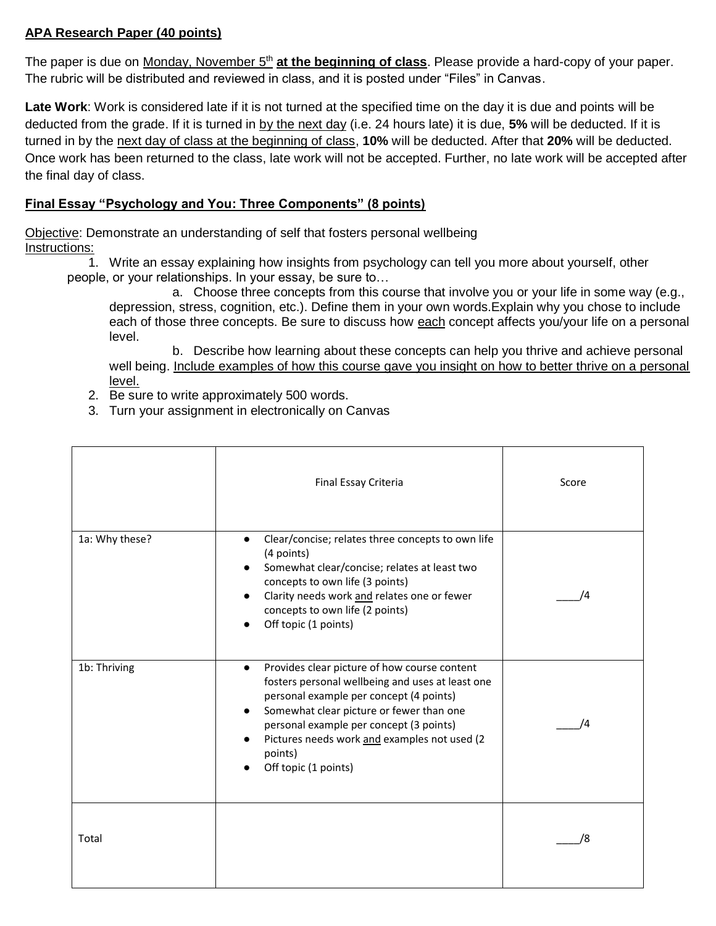# **APA Research Paper (40 points)**

The paper is due on Monday, November 5<sup>th</sup> at the beginning of class</u>. Please provide a hard-copy of your paper. The rubric will be distributed and reviewed in class, and it is posted under "Files" in Canvas.

**Late Work**: Work is considered late if it is not turned at the specified time on the day it is due and points will be deducted from the grade. If it is turned in by the next day (i.e. 24 hours late) it is due, **5%** will be deducted. If it is turned in by the next day of class at the beginning of class, **10%** will be deducted. After that **20%** will be deducted. Once work has been returned to the class, late work will not be accepted. Further, no late work will be accepted after the final day of class.

## **Final Essay "Psychology and You: Three Components" (8 points)**

Objective: Demonstrate an understanding of self that fosters personal wellbeing Instructions:

1. Write an essay explaining how insights from psychology can tell you more about yourself, other people, or your relationships. In your essay, be sure to…

a. Choose three concepts from this course that involve you or your life in some way (e.g., depression, stress, cognition, etc.). Define them in your own words.Explain why you chose to include each of those three concepts. Be sure to discuss how each concept affects you/your life on a personal level.

b. Describe how learning about these concepts can help you thrive and achieve personal well being. Include examples of how this course gave you insight on how to better thrive on a personal level.

- 2. Be sure to write approximately 500 words.
- 3. Turn your assignment in electronically on Canvas

|                | Final Essay Criteria                                                                                                                                                                                                                                                                                                               | Score |
|----------------|------------------------------------------------------------------------------------------------------------------------------------------------------------------------------------------------------------------------------------------------------------------------------------------------------------------------------------|-------|
| 1a: Why these? | Clear/concise; relates three concepts to own life<br>$\bullet$<br>(4 points)<br>Somewhat clear/concise; relates at least two<br>concepts to own life (3 points)<br>Clarity needs work and relates one or fewer<br>concepts to own life (2 points)<br>Off topic (1 points)                                                          | ΙД    |
| 1b: Thriving   | Provides clear picture of how course content<br>$\bullet$<br>fosters personal wellbeing and uses at least one<br>personal example per concept (4 points)<br>Somewhat clear picture or fewer than one<br>personal example per concept (3 points)<br>Pictures needs work and examples not used (2<br>points)<br>Off topic (1 points) | /4    |
| Total          |                                                                                                                                                                                                                                                                                                                                    | /8    |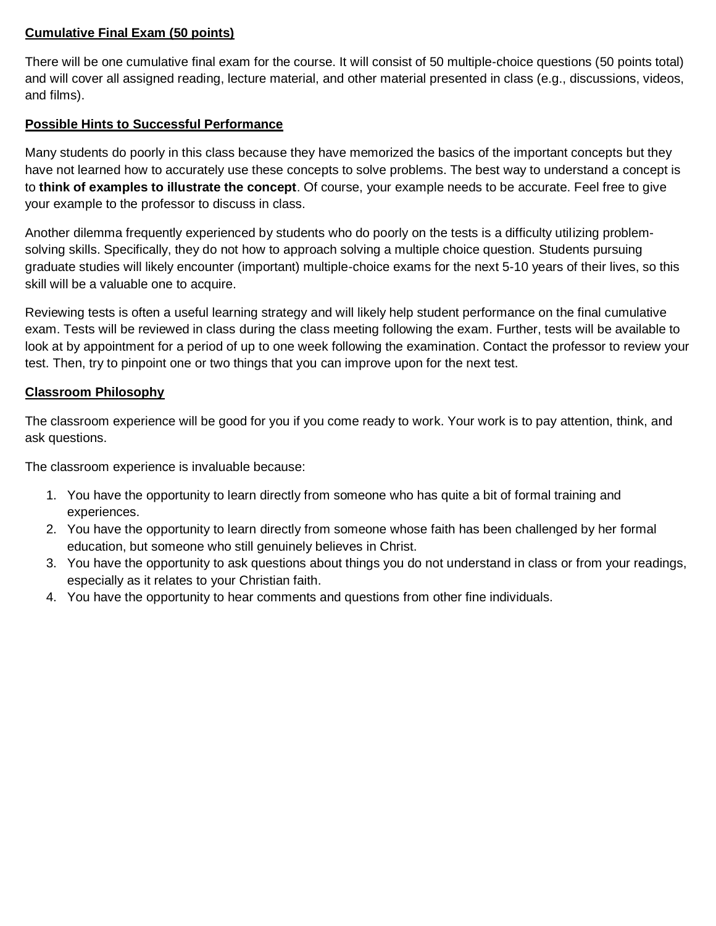## **Cumulative Final Exam (50 points)**

There will be one cumulative final exam for the course. It will consist of 50 multiple-choice questions (50 points total) and will cover all assigned reading, lecture material, and other material presented in class (e.g., discussions, videos, and films).

## **Possible Hints to Successful Performance**

Many students do poorly in this class because they have memorized the basics of the important concepts but they have not learned how to accurately use these concepts to solve problems. The best way to understand a concept is to **think of examples to illustrate the concept**. Of course, your example needs to be accurate. Feel free to give your example to the professor to discuss in class.

Another dilemma frequently experienced by students who do poorly on the tests is a difficulty utilizing problemsolving skills. Specifically, they do not how to approach solving a multiple choice question. Students pursuing graduate studies will likely encounter (important) multiple-choice exams for the next 5-10 years of their lives, so this skill will be a valuable one to acquire.

Reviewing tests is often a useful learning strategy and will likely help student performance on the final cumulative exam. Tests will be reviewed in class during the class meeting following the exam. Further, tests will be available to look at by appointment for a period of up to one week following the examination. Contact the professor to review your test. Then, try to pinpoint one or two things that you can improve upon for the next test.

# **Classroom Philosophy**

The classroom experience will be good for you if you come ready to work. Your work is to pay attention, think, and ask questions.

The classroom experience is invaluable because:

- 1. You have the opportunity to learn directly from someone who has quite a bit of formal training and experiences.
- 2. You have the opportunity to learn directly from someone whose faith has been challenged by her formal education, but someone who still genuinely believes in Christ.
- 3. You have the opportunity to ask questions about things you do not understand in class or from your readings, especially as it relates to your Christian faith.
- 4. You have the opportunity to hear comments and questions from other fine individuals.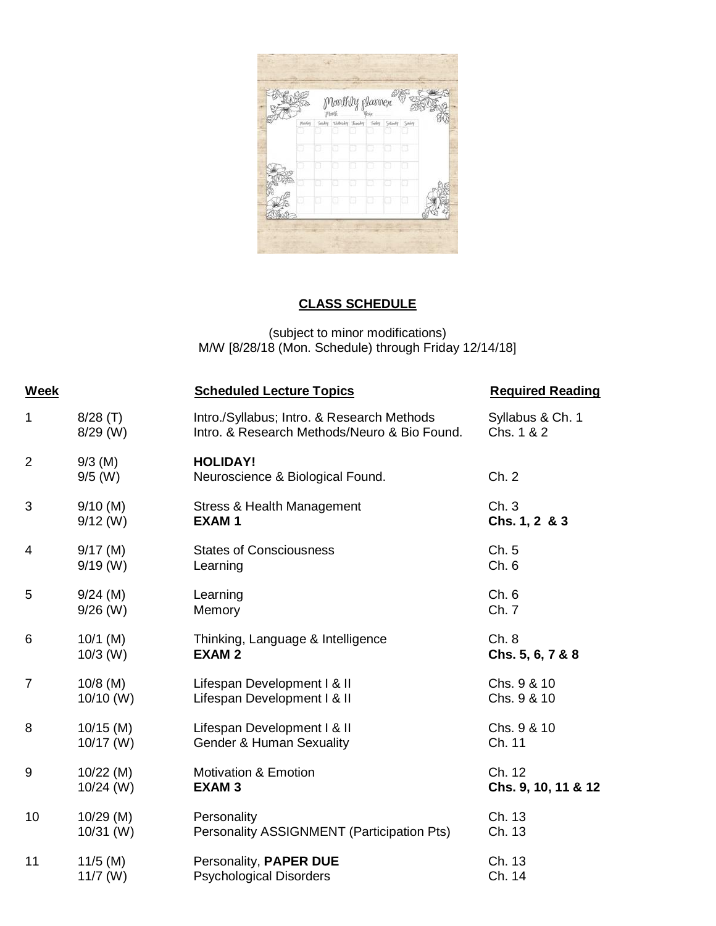|        | Monthly planner     |       |                                |  |
|--------|---------------------|-------|--------------------------------|--|
| Pinday | Jasky Widesky Justy | Today | <b><i><u>Galankrip</u></i></b> |  |
|        |                     |       |                                |  |
|        |                     |       |                                |  |
|        |                     |       |                                |  |
|        |                     |       |                                |  |

# **CLASS SCHEDULE**

(subject to minor modifications) M/W [8/28/18 (Mon. Schedule) through Friday 12/14/18]

| <b>Week</b>    |                        | <b>Scheduled Lecture Topics</b>                     | <b>Required Reading</b> |
|----------------|------------------------|-----------------------------------------------------|-------------------------|
| $\mathbf 1$    | $8/28$ (T)             | Intro./Syllabus; Intro. & Research Methods          | Syllabus & Ch. 1        |
|                | $8/29$ (W)             | Intro. & Research Methods/Neuro & Bio Found.        | Chs. 1 & 2              |
| $\overline{2}$ | $9/3$ (M)<br>$9/5$ (W) | <b>HOLIDAY!</b><br>Neuroscience & Biological Found. | Ch. 2                   |
| 3              | $9/10$ (M)             | <b>Stress &amp; Health Management</b>               | Ch.3                    |
|                | $9/12$ (W)             | <b>EXAM1</b>                                        | Chs. 1, 2 & 3           |
| $\overline{4}$ | $9/17$ (M)             | <b>States of Consciousness</b>                      | Ch. 5                   |
|                | $9/19$ (W)             | Learning                                            | Ch.6                    |
| 5              | $9/24$ (M)             | Learning                                            | Ch. 6                   |
|                | $9/26$ (W)             | Memory                                              | Ch. 7                   |
| 6              | $10/1$ (M)             | Thinking, Language & Intelligence                   | Ch. 8                   |
|                | $10/3$ (W)             | <b>EXAM2</b>                                        | Chs. 5, 6, 7 & 8        |
| $\overline{7}$ | $10/8$ (M)             | Lifespan Development I & II                         | Chs. 9 & 10             |
|                | $10/10$ (W)            | Lifespan Development I & II                         | Chs. 9 & 10             |
| 8              | $10/15$ (M)            | Lifespan Development I & II                         | Chs. 9 & 10             |
|                | $10/17$ (W)            | <b>Gender &amp; Human Sexuality</b>                 | Ch. 11                  |
| 9              | $10/22$ (M)            | <b>Motivation &amp; Emotion</b>                     | Ch. 12                  |
|                | $10/24$ (W)            | <b>EXAM3</b>                                        | Chs. 9, 10, 11 & 12     |
| 10             | $10/29$ (M)            | Personality                                         | Ch. 13                  |
|                | $10/31$ (W)            | Personality ASSIGNMENT (Participation Pts)          | Ch. 13                  |
| 11             | $11/5$ (M)             | Personality, PAPER DUE                              | Ch. 13                  |
|                | $11/7$ (W)             | <b>Psychological Disorders</b>                      | Ch. 14                  |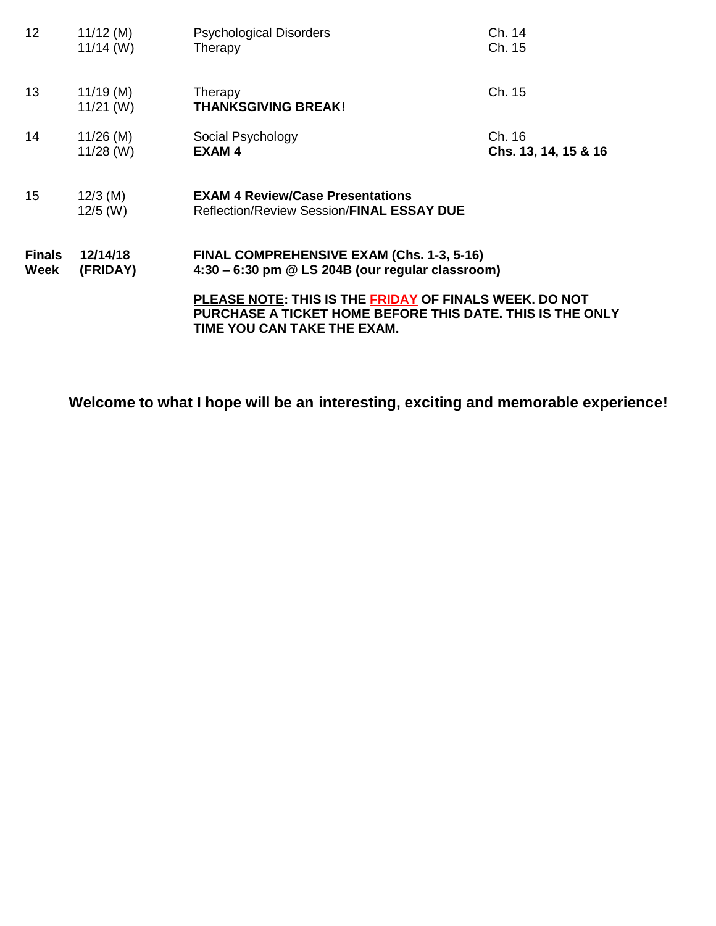| 12 <sup>°</sup> | $11/12$ (M)                | <b>Psychological Disorders</b>                                                                                                                     | Ch. 14               |
|-----------------|----------------------------|----------------------------------------------------------------------------------------------------------------------------------------------------|----------------------|
|                 | $11/14$ (W)                | Therapy                                                                                                                                            | Ch. 15               |
| 13              | $11/19$ (M)<br>$11/21$ (W) | Therapy<br><b>THANKSGIVING BREAK!</b>                                                                                                              | Ch. 15               |
| 14              | $11/26$ (M)                | Social Psychology                                                                                                                                  | Ch. 16               |
|                 | $11/28$ (W)                | EXAM <sub>4</sub>                                                                                                                                  | Chs. 13, 14, 15 & 16 |
| 15 <sub>2</sub> | $12/3$ (M)<br>$12/5$ (W)   | <b>EXAM 4 Review/Case Presentations</b><br>Reflection/Review Session/FINAL ESSAY DUE                                                               |                      |
| <b>Finals</b>   | 12/14/18                   | FINAL COMPREHENSIVE EXAM (Chs. 1-3, 5-16)                                                                                                          |                      |
| Week            | (FRIDAY)                   | $4:30 - 6:30$ pm $@$ LS 204B (our regular classroom)                                                                                               |                      |
|                 |                            | PLEASE NOTE: THIS IS THE FRIDAY OF FINALS WEEK. DO NOT<br>PURCHASE A TICKET HOME BEFORE THIS DATE. THIS IS THE ONLY<br>TIME YOU CAN TAKE THE EXAM. |                      |

**Welcome to what I hope will be an interesting, exciting and memorable experience!**